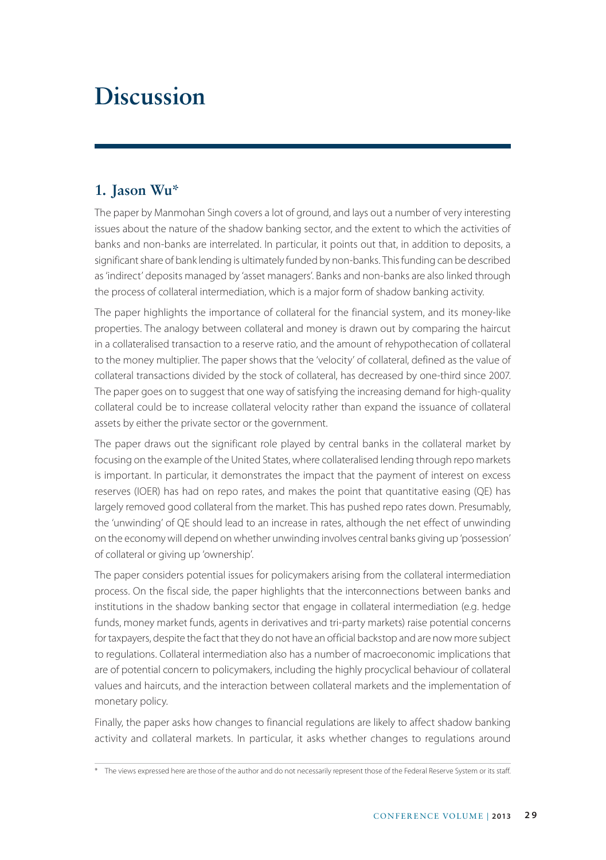# **Discussion**

# **1. Jason Wu\***

The paper by Manmohan Singh covers a lot of ground, and lays out a number of very interesting issues about the nature of the shadow banking sector, and the extent to which the activities of banks and non-banks are interrelated. In particular, it points out that, in addition to deposits, a significant share of bank lending is ultimately funded by non-banks. This funding can be described as 'indirect' deposits managed by 'asset managers'. Banks and non-banks are also linked through the process of collateral intermediation, which is a major form of shadow banking activity.

The paper highlights the importance of collateral for the financial system, and its money-like properties. The analogy between collateral and money is drawn out by comparing the haircut in a collateralised transaction to a reserve ratio, and the amount of rehypothecation of collateral to the money multiplier. The paper shows that the 'velocity' of collateral, defined as the value of collateral transactions divided by the stock of collateral, has decreased by one-third since 2007. The paper goes on to suggest that one way of satisfying the increasing demand for high-quality collateral could be to increase collateral velocity rather than expand the issuance of collateral assets by either the private sector or the government.

The paper draws out the significant role played by central banks in the collateral market by focusing on the example of the United States, where collateralised lending through repo markets is important. In particular, it demonstrates the impact that the payment of interest on excess reserves (IOER) has had on repo rates, and makes the point that quantitative easing (QE) has largely removed good collateral from the market. This has pushed repo rates down. Presumably, the 'unwinding' of QE should lead to an increase in rates, although the net effect of unwinding on the economy will depend on whether unwinding involves central banks giving up 'possession' of collateral or giving up 'ownership'.

The paper considers potential issues for policymakers arising from the collateral intermediation process. On the fiscal side, the paper highlights that the interconnections between banks and institutions in the shadow banking sector that engage in collateral intermediation (e.g. hedge funds, money market funds, agents in derivatives and tri-party markets) raise potential concerns for taxpayers, despite the fact that they do not have an official backstop and are now more subject to regulations. Collateral intermediation also has a number of macroeconomic implications that are of potential concern to policymakers, including the highly procyclical behaviour of collateral values and haircuts, and the interaction between collateral markets and the implementation of monetary policy.

Finally, the paper asks how changes to financial regulations are likely to affect shadow banking activity and collateral markets. In particular, it asks whether changes to regulations around

<sup>\*</sup> The views expressed here are those of the author and do not necessarily represent those of the Federal Reserve System or its staff.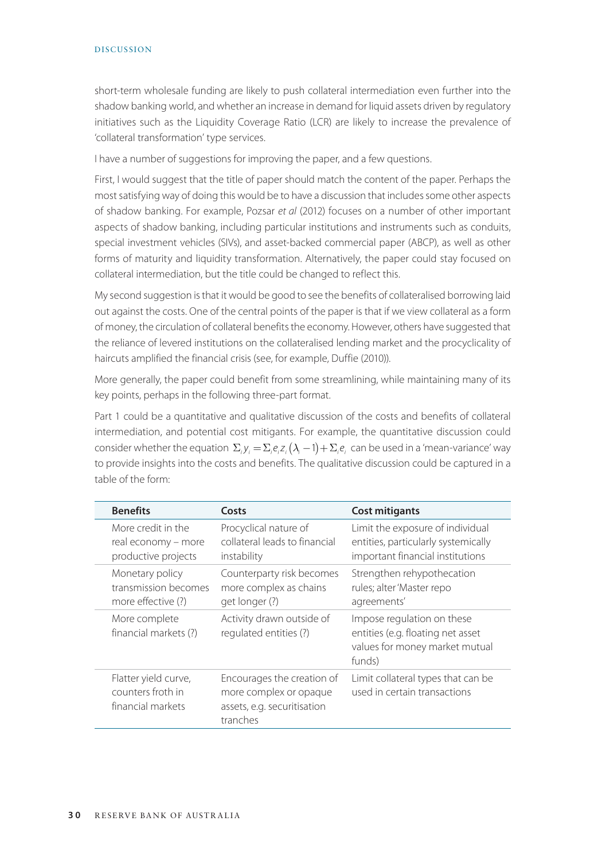### DISCUSSION

short-term wholesale funding are likely to push collateral intermediation even further into the shadow banking world, and whether an increase in demand for liquid assets driven by regulatory initiatives such as the Liquidity Coverage Ratio (LCR) are likely to increase the prevalence of 'collateral transformation' type services.

I have a number of suggestions for improving the paper, and a few questions.

First, I would suggest that the title of paper should match the content of the paper. Perhaps the most satisfying way of doing this would be to have a discussion that includes some other aspects of shadow banking. For example, Pozsar *et al* (2012) focuses on a number of other important aspects of shadow banking, including particular institutions and instruments such as conduits, special investment vehicles (SIVs), and asset-backed commercial paper (ABCP), as well as other forms of maturity and liquidity transformation. Alternatively, the paper could stay focused on collateral intermediation, but the title could be changed to reflect this.

My second suggestion is that it would be good to see the benefits of collateralised borrowing laid out against the costs. One of the central points of the paper is that if we view collateral as a form of money, the circulation of collateral benefits the economy. However, others have suggested that the reliance of levered institutions on the collateralised lending market and the procyclicality of haircuts amplified the financial crisis (see, for example, Duffie (2010)).

More generally, the paper could benefit from some streamlining, while maintaining many of its key points, perhaps in the following three-part format.

Part 1 could be a quantitative and qualitative discussion of the costs and benefits of collateral intermediation, and potential cost mitigants. For example, the quantitative discussion could consider whether the equation  $\Sigma_i y_i = \Sigma_i e_i z_i (\lambda_i - 1) + \Sigma_i e_i$  can be used in a 'mean-variance' way to provide insights into the costs and benefits. The qualitative discussion could be captured in a table of the form:

| <b>Benefits</b>                                                  | Costs                                                                                           | <b>Cost mitigants</b>                                                                                       |
|------------------------------------------------------------------|-------------------------------------------------------------------------------------------------|-------------------------------------------------------------------------------------------------------------|
| More credit in the<br>real economy – more<br>productive projects | Procyclical nature of<br>collateral leads to financial<br>instability                           | Limit the exposure of individual<br>entities, particularly systemically<br>important financial institutions |
| Monetary policy<br>transmission becomes<br>more effective (?)    | Counterparty risk becomes<br>more complex as chains<br>get longer (?)                           | Strengthen rehypothecation<br>rules; alter 'Master repo<br>agreements'                                      |
| More complete<br>financial markets (?)                           | Activity drawn outside of<br>requlated entities (?)                                             | Impose regulation on these<br>entities (e.g. floating net asset<br>values for money market mutual<br>funds) |
| Flatter yield curve,<br>counters froth in<br>financial markets   | Encourages the creation of<br>more complex or opaque<br>assets, e.g. securitisation<br>tranches | Limit collateral types that can be<br>used in certain transactions                                          |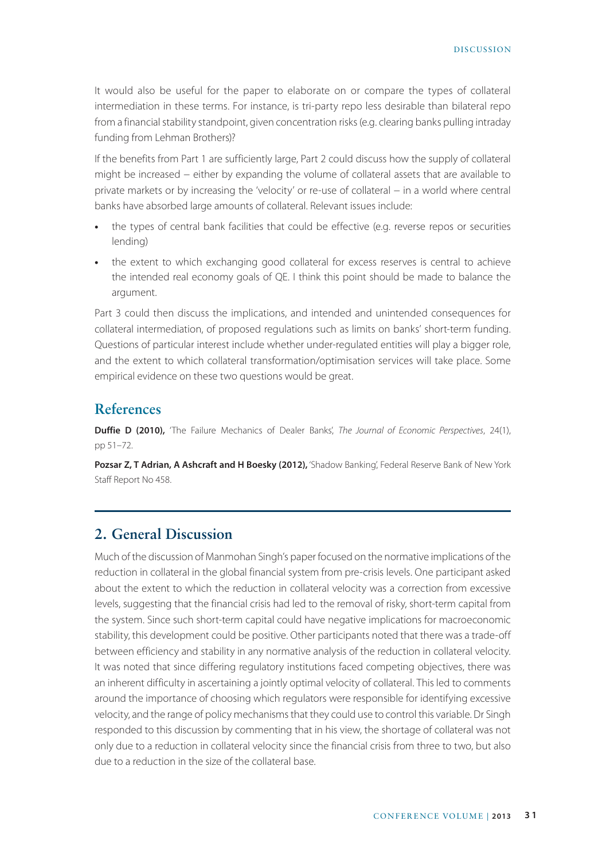It would also be useful for the paper to elaborate on or compare the types of collateral intermediation in these terms. For instance, is tri-party repo less desirable than bilateral repo from a financial stability standpoint, given concentration risks (e.g. clearing banks pulling intraday funding from Lehman Brothers)?

If the benefits from Part 1 are sufficiently large, Part 2 could discuss how the supply of collateral might be increased − either by expanding the volume of collateral assets that are available to private markets or by increasing the 'velocity' or re-use of collateral – in a world where central banks have absorbed large amounts of collateral. Relevant issues include:

- **•** the types of central bank facilities that could be effective (e.g. reverse repos or securities lending)
- the extent to which exchanging good collateral for excess reserves is central to achieve the intended real economy goals of QE. I think this point should be made to balance the argument.

Part 3 could then discuss the implications, and intended and unintended consequences for collateral intermediation, of proposed regulations such as limits on banks' short-term funding. Questions of particular interest include whether under-regulated entities will play a bigger role, and the extent to which collateral transformation/optimisation services will take place. Some empirical evidence on these two questions would be great.

## **References**

**Duffie D (2010),** 'The Failure Mechanics of Dealer Banks', *The Journal of Economic Perspectives*, 24(1), pp 51–72.

Pozsar Z, T Adrian, A Ashcraft and H Boesky (2012), 'Shadow Banking', Federal Reserve Bank of New York Staff Report No 458.

# **2. General Discussion**

Much of the discussion of Manmohan Singh's paper focused on the normative implications of the reduction in collateral in the global financial system from pre-crisis levels. One participant asked about the extent to which the reduction in collateral velocity was a correction from excessive levels, suggesting that the financial crisis had led to the removal of risky, short-term capital from the system. Since such short-term capital could have negative implications for macroeconomic stability, this development could be positive. Other participants noted that there was a trade-off between efficiency and stability in any normative analysis of the reduction in collateral velocity. It was noted that since differing regulatory institutions faced competing objectives, there was an inherent difficulty in ascertaining a jointly optimal velocity of collateral. This led to comments around the importance of choosing which regulators were responsible for identifying excessive velocity, and the range of policy mechanisms that they could use to control this variable. Dr Singh responded to this discussion by commenting that in his view, the shortage of collateral was not only due to a reduction in collateral velocity since the financial crisis from three to two, but also due to a reduction in the size of the collateral base.